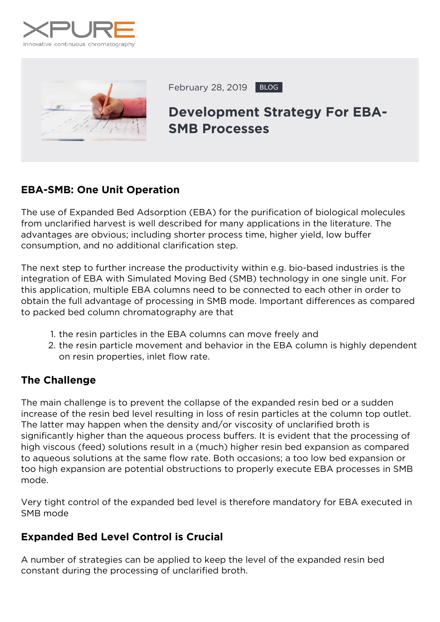



February 28, 2019 BLOG

# **Development Strategy For EBA-SMB Processes**

# **EBA-SMB: One Unit Operation**

The use of Expanded Bed Adsorption (EBA) for the purification of biological molecules from unclarified harvest is well described for many applications in the literature. The advantages are obvious; including shorter process time, higher yield, low buffer consumption, and no additional clarification step.

The next step to further increase the productivity within e.g. bio-based industries is the integration of EBA with Simulated Moving Bed (SMB) technology in one single unit. For this application, multiple EBA columns need to be connected to each other in order to obtain the full advantage of processing in SMB mode. Important differences as compared to packed bed column chromatography are that

- 1. the resin particles in the EBA columns can move freely and
- 2. the resin particle movement and behavior in the EBA column is highly dependent on resin properties, inlet flow rate.

## **The Challenge**

The main challenge is to prevent the collapse of the expanded resin bed or a sudden increase of the resin bed level resulting in loss of resin particles at the column top outlet. The latter may happen when the density and/or viscosity of unclarified broth is significantly higher than the aqueous process buffers. It is evident that the processing of high viscous (feed) solutions result in a (much) higher resin bed expansion as compared to aqueous solutions at the same flow rate. Both occasions; a too low bed expansion or too high expansion are potential obstructions to properly execute EBA processes in SMB mode.

Very tight control of the expanded bed level is therefore mandatory for EBA executed in SMB mode

## **Expanded Bed Level Control is Crucial**

A number of strategies can be applied to keep the level of the expanded resin bed constant during the processing of unclarified broth.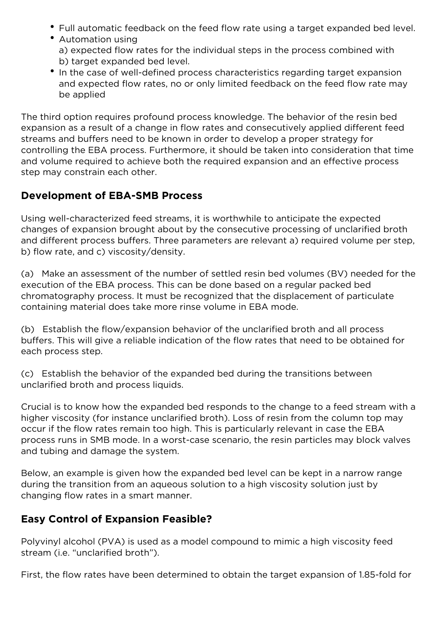- Full automatic feedback on the feed flow rate using a target expanded bed level.
- Automation using a) expected flow rates for the individual steps in the process combined with b) target expanded bed level.
- In the case of well-defined process characteristics regarding target expansion and expected flow rates, no or only limited feedback on the feed flow rate may be applied

The third option requires profound process knowledge. The behavior of the resin bed expansion as a result of a change in flow rates and consecutively applied different feed streams and buffers need to be known in order to develop a proper strategy for controlling the EBA process. Furthermore, it should be taken into consideration that time and volume required to achieve both the required expansion and an effective process step may constrain each other.

#### **Development of EBA-SMB Process**

Using well-characterized feed streams, it is worthwhile to anticipate the expected changes of expansion brought about by the consecutive processing of unclarified broth and different process buffers. Three parameters are relevant a) required volume per step, b) flow rate, and c) viscosity/density.

(a) Make an assessment of the number of settled resin bed volumes (BV) needed for the execution of the EBA process. This can be done based on a regular packed bed chromatography process. It must be recognized that the displacement of particulate containing material does take more rinse volume in EBA mode.

(b) Establish the flow/expansion behavior of the unclarified broth and all process buffers. This will give a reliable indication of the flow rates that need to be obtained for each process step.

(c) Establish the behavior of the expanded bed during the transitions between unclarified broth and process liquids.

Crucial is to know how the expanded bed responds to the change to a feed stream with a higher viscosity (for instance unclarified broth). Loss of resin from the column top may occur if the flow rates remain too high. This is particularly relevant in case the EBA process runs in SMB mode. In a worst-case scenario, the resin particles may block valves and tubing and damage the system.

Below, an example is given how the expanded bed level can be kept in a narrow range during the transition from an aqueous solution to a high viscosity solution just by changing flow rates in a smart manner.

## **Easy Control of Expansion Feasible?**

Polyvinyl alcohol (PVA) is used as a model compound to mimic a high viscosity feed stream (i.e. "unclarified broth").

First, the flow rates have been determined to obtain the target expansion of 1.85-fold for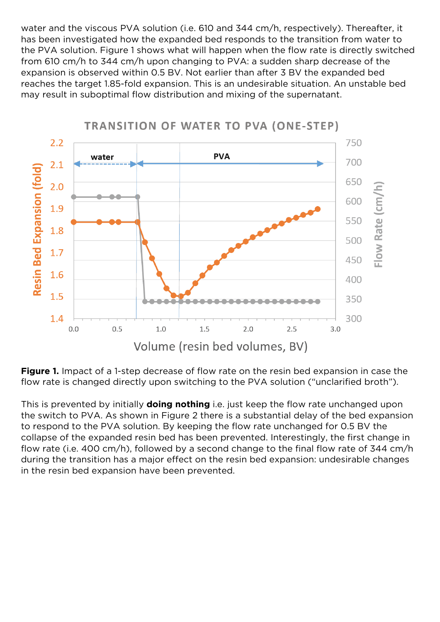water and the viscous PVA solution (i.e. 610 and 344 cm/h, respectively). Thereafter, it has been investigated how the expanded bed responds to the transition from water to the PVA solution. Figure 1 shows what will happen when the flow rate is directly switched from 610 cm/h to 344 cm/h upon changing to PVA: a sudden sharp decrease of the expansion is observed within 0.5 BV. Not earlier than after 3 BV the expanded bed reaches the target 1.85-fold expansion. This is an undesirable situation. An unstable bed may result in suboptimal flow distribution and mixing of the supernatant.



## **TRANSITION OF WATER TO PVA (ONE-STEP)**

*Figure 1. Impact of a 1-step decrease of flow rate on the resin bed expansion in case the flow rate is changed directly upon switching to the PVA solution ("unclarified broth").*

This is prevented by initially **doing nothing** i.e. just keep the flow rate unchanged upon the switch to PVA. As shown in Figure 2 there is a substantial delay of the bed expansion to respond to the PVA solution. By keeping the flow rate unchanged for 0.5 BV the collapse of the expanded resin bed has been prevented. Interestingly, the first change in flow rate (i.e. 400 cm/h), followed by a second change to the final flow rate of 344 cm/h during the transition has a major effect on the resin bed expansion: undesirable changes in the resin bed expansion have been prevented.